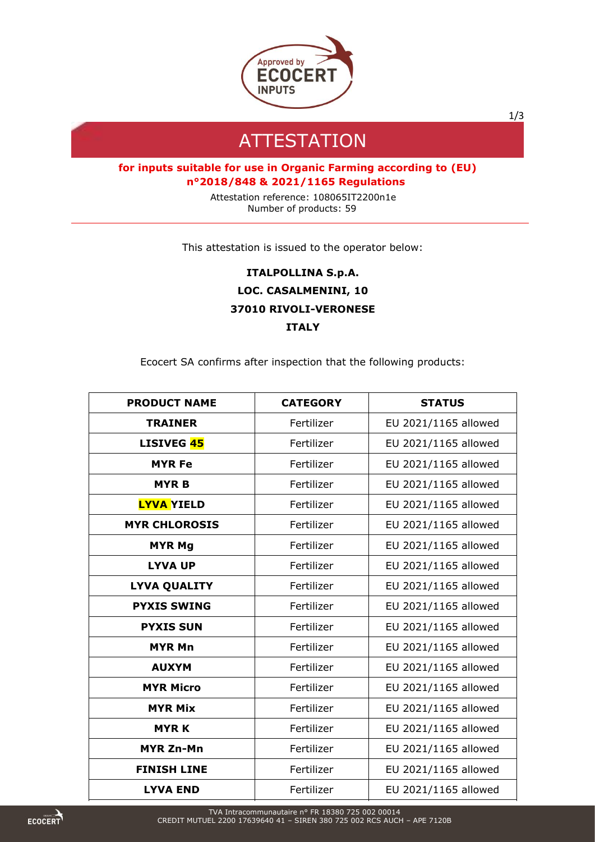

1/3

## **ATTESTATION**

## **for inputs suitable for use in Organic Farming according to (EU) n°2018/848 & 2021/1165 Regulations**

Attestation reference: 108065IT2200n1e Number of products: 59

This attestation is issued to the operator below:

**ITALPOLLINA S.p.A. LOC. CASALMENINI, 10 37010 RIVOLI-VERONESE ITALY**

Ecocert SA confirms after inspection that the following products:

| <b>PRODUCT NAME</b>  | <b>CATEGORY</b> | <b>STATUS</b>        |
|----------------------|-----------------|----------------------|
| <b>TRAINER</b>       | Fertilizer      | EU 2021/1165 allowed |
| <b>LISIVEG 45</b>    | Fertilizer      | EU 2021/1165 allowed |
| <b>MYR Fe</b>        | Fertilizer      | EU 2021/1165 allowed |
| <b>MYRB</b>          | Fertilizer      | EU 2021/1165 allowed |
| <b>LYVA YIELD</b>    | Fertilizer      | EU 2021/1165 allowed |
| <b>MYR CHLOROSIS</b> | Fertilizer      | EU 2021/1165 allowed |
| <b>MYR Mg</b>        | Fertilizer      | EU 2021/1165 allowed |
| <b>LYVA UP</b>       | Fertilizer      | EU 2021/1165 allowed |
| <b>LYVA QUALITY</b>  | Fertilizer      | EU 2021/1165 allowed |
| <b>PYXIS SWING</b>   | Fertilizer      | EU 2021/1165 allowed |
| <b>PYXIS SUN</b>     | Fertilizer      | EU 2021/1165 allowed |
| <b>MYR Mn</b>        | Fertilizer      | EU 2021/1165 allowed |
| <b>AUXYM</b>         | Fertilizer      | EU 2021/1165 allowed |
| <b>MYR Micro</b>     | Fertilizer      | EU 2021/1165 allowed |
| <b>MYR Mix</b>       | Fertilizer      | EU 2021/1165 allowed |
| <b>MYRK</b>          | Fertilizer      | EU 2021/1165 allowed |
| <b>MYR Zn-Mn</b>     | Fertilizer      | EU 2021/1165 allowed |
| <b>FINISH LINE</b>   | Fertilizer      | EU 2021/1165 allowed |
| <b>LYVA END</b>      | Fertilizer      | EU 2021/1165 allowed |

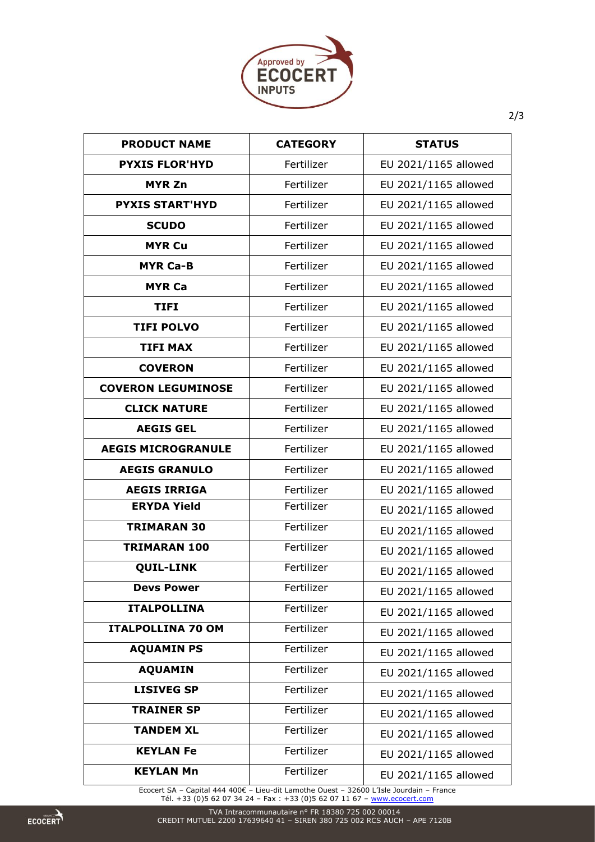

| <b>PRODUCT NAME</b>       | <b>CATEGORY</b> | <b>STATUS</b>        |
|---------------------------|-----------------|----------------------|
| <b>PYXIS FLOR'HYD</b>     | Fertilizer      | EU 2021/1165 allowed |
| <b>MYR Zn</b>             | Fertilizer      | EU 2021/1165 allowed |
| <b>PYXIS START'HYD</b>    | Fertilizer      | EU 2021/1165 allowed |
| <b>SCUDO</b>              | Fertilizer      | EU 2021/1165 allowed |
| <b>MYR Cu</b>             | Fertilizer      | EU 2021/1165 allowed |
| <b>MYR Ca-B</b>           | Fertilizer      | EU 2021/1165 allowed |
| <b>MYR Ca</b>             | Fertilizer      | EU 2021/1165 allowed |
| <b>TIFI</b>               | Fertilizer      | EU 2021/1165 allowed |
| <b>TIFI POLVO</b>         | Fertilizer      | EU 2021/1165 allowed |
| <b>TIFI MAX</b>           | Fertilizer      | EU 2021/1165 allowed |
| <b>COVERON</b>            | Fertilizer      | EU 2021/1165 allowed |
| <b>COVERON LEGUMINOSE</b> | Fertilizer      | EU 2021/1165 allowed |
| <b>CLICK NATURE</b>       | Fertilizer      | EU 2021/1165 allowed |
| <b>AEGIS GEL</b>          | Fertilizer      | EU 2021/1165 allowed |
| <b>AEGIS MICROGRANULE</b> | Fertilizer      | EU 2021/1165 allowed |
| <b>AEGIS GRANULO</b>      | Fertilizer      | EU 2021/1165 allowed |
| <b>AEGIS IRRIGA</b>       | Fertilizer      | EU 2021/1165 allowed |
| <b>ERYDA Yield</b>        | Fertilizer      | EU 2021/1165 allowed |
| <b>TRIMARAN 30</b>        | Fertilizer      | EU 2021/1165 allowed |
| <b>TRIMARAN 100</b>       | Fertilizer      | EU 2021/1165 allowed |
| <b>QUIL-LINK</b>          | Fertilizer      | EU 2021/1165 allowed |
| <b>Devs Power</b>         | Fertilizer      | EU 2021/1165 allowed |
| <b>ITALPOLLINA</b>        | Fertilizer      | EU 2021/1165 allowed |
| <b>ITALPOLLINA 70 OM</b>  | Fertilizer      | EU 2021/1165 allowed |
| <b>AQUAMIN PS</b>         | Fertilizer      | EU 2021/1165 allowed |
| <b>AQUAMIN</b>            | Fertilizer      | EU 2021/1165 allowed |
| <b>LISIVEG SP</b>         | Fertilizer      | EU 2021/1165 allowed |
| <b>TRAINER SP</b>         | Fertilizer      | EU 2021/1165 allowed |
| <b>TANDEM XL</b>          | Fertilizer      | EU 2021/1165 allowed |
| <b>KEYLAN Fe</b>          | Fertilizer      | EU 2021/1165 allowed |
| <b>KEYLAN Mn</b>          | Fertilizer      | EU 2021/1165 allowed |

Ecocert SA – Capital 444 400€ – Lieu-dit Lamothe Ouest – 32600 L'Isle Jourdain – France Tél. +33 (0)5 62 07 34 24 – Fax : +33 (0)5 62 07 11 67 – <u>[www.ecocert.com](http://www.ecocert.com/)</u>